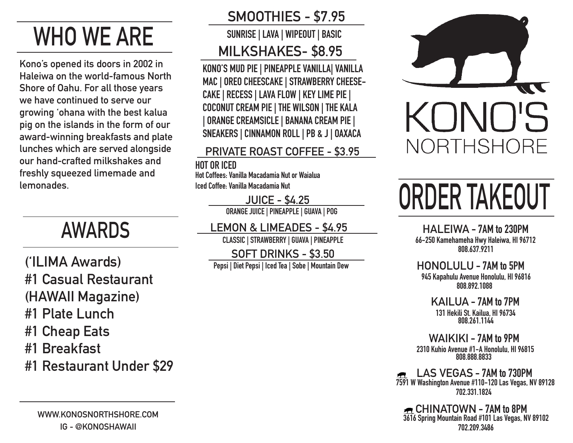# **WHO WE ARE**

**Kono's opened its doors in 2002 in Haleiwa on the world-famous North Shore of Oahu. For all those years we have continued to serve our growing 'ohana with the best kalua pig on the islands in the form of our award-winning breakfasts and plate lunches which are served alongside our hand-crafted milkshakes and freshly squeezed limemade and lemonades.**

## **AWARDS**

**('ILIMA Awards) #1 Casual Restaurant (HAWAII Magazine) #1 Plate Lunch #1 Cheap Eats #1 Breakfast**

**#1 Restaurant Under \$29**

**WWW.KONOSNORTHSHORE.COM IG - @KONOSHAWAII**

## **SMOOTHIES - \$7.95**

**SUNRISE | LAVA | WIPEOUT | BASIC MILKSHAKES- \$8.95**

**KONO'S MUD PIE | PINEAPPLE VANILLA| VANILLA MAC | OREO CHEESCAKE | STRAWBERRY CHEESE-CAKE | RECESS | LAVA FLOW | KEY LIME PIE | COCONUT CREAM PIE | THE WILSON | THE KALA | ORANGE CREAMSICLE | BANANA CREAM PIE | SNEAKERS | CINNAMON ROLL | PB & J | OAXACA**

#### **PRIVATE ROAST COFFEE - \$3.95**

**HOT OR ICED**

**Hot Coffees: Vanilla Macadamia Nut or Waialua Iced Coffee: Vanilla Macadamia Nut**

#### **JUICE - \$4.25**

**ORANGE JUICE | PINEAPPLE | GUAVA | POG**

**LEMON & LIMEADES - \$4.95**

**CLASSIC | STRAWBERRY | GUAVA | PINEAPPLE**

**SOFT DRINKS - \$3.50 Pepsi | Diet Pepsi | Iced Tea | Sobe | Mountain Dew**



# **ORDER TAKEOUT**

**HALEIWA - 7AM to 230PM 66-250 Kamehameha Hwy Haleiwa, HI 96712 808.637.9211**

**HONOLULU - 7AM to 5PM 945 Kapahulu Avenue Honolulu, HI 96816 808.892.1088**

> **KAILUA - 7AM to 7PM 131 Hekili St. Kailua, HI 96734 808.261.1144**

**WAIKIKI - 7AM to 9PM 2310 Kuhio Avenue #1-A Honolulu, HI 96815 808.888.8833**

**LAS VEGAS - 7AM to 730PM 7591 W Washington Avenue #110-120 Las Vegas, NV 89128 702.331.1824**

**3616 Spring Mountain Road #101 Las Vegas, NV 89102 702.209.3486 CHINATOWN - 7AM to 8PM**